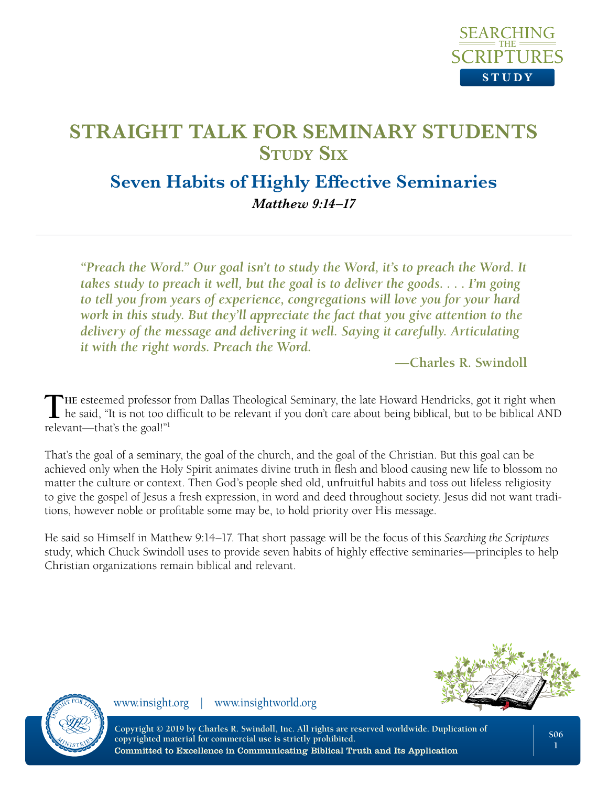

## **Seven Habits of Highly Effective Seminaries**  *Matthew 9:14–17*

*"Preach the Word." Our goal isn't to study the Word, it's to preach the Word. It takes study to preach it well, but the goal is to deliver the goods. . . . I'm going to tell you from years of experience, congregations will love you for your hard work in this study. But they'll appreciate the fact that you give attention to the delivery of the message and delivering it well. Saying it carefully. Articulating it with the right words. Preach the Word.* 

**—Charles R. Swindoll**

The esteemed professor from Dallas Theological Seminary, the late Howard Hendricks, got it right when he said, "It is not too difficult to be relevant if you don't care about being biblical, but to be biblical AND relevant—that's the goal!"1

That's the goal of a seminary, the goal of the church, and the goal of the Christian. But this goal can be achieved only when the Holy Spirit animates divine truth in flesh and blood causing new life to blossom no matter the culture or context. Then God's people shed old, unfruitful habits and toss out lifeless religiosity to give the gospel of Jesus a fresh expression, in word and deed throughout society. Jesus did not want traditions, however noble or profitable some may be, to hold priority over His message.

He said so Himself in Matthew 9:14–17. That short passage will be the focus of this *Searching the Scriptures*  study, which Chuck Swindoll uses to provide seven habits of highly effective seminaries—principles to help Christian organizations remain biblical and relevant.





www.insight.org | www.insightworld.org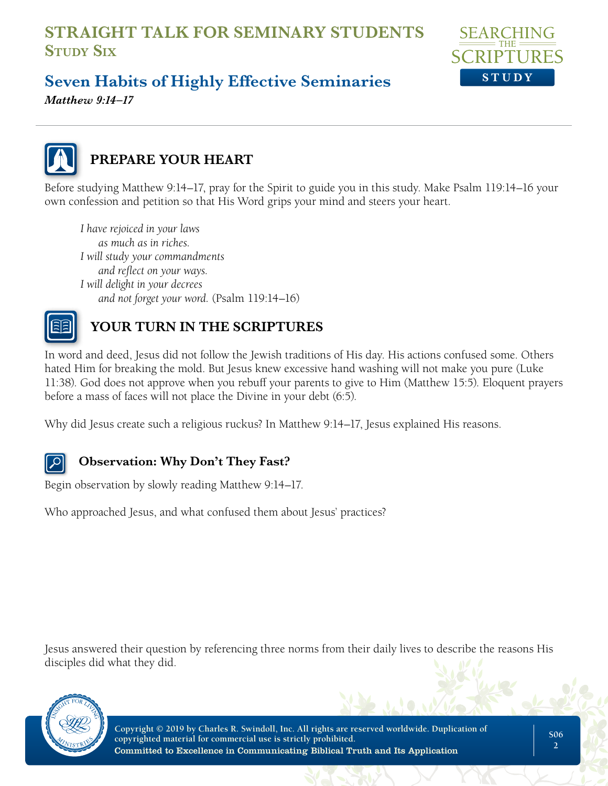

# **Seven Habits of Highly Effective Seminaries**

*Matthew 9:14–17*



## **PREPARE YOUR HEART**

Before studying Matthew 9:14–17, pray for the Spirit to guide you in this study. Make Psalm 119:14–16 your own confession and petition so that His Word grips your mind and steers your heart.

*I have rejoiced in your laws as much as in riches. I will study your commandments and reflect on your ways. I will delight in your decrees and not forget your word.* (Psalm 119:14–16)



## **YOUR TURN IN THE SCRIPTURES**

In word and deed, Jesus did not follow the Jewish traditions of His day. His actions confused some. Others hated Him for breaking the mold. But Jesus knew excessive hand washing will not make you pure (Luke 11:38). God does not approve when you rebuff your parents to give to Him (Matthew 15:5). Eloquent prayers before a mass of faces will not place the Divine in your debt (6:5).

Why did Jesus create such a religious ruckus? In Matthew 9:14–17, Jesus explained His reasons.

#### **Observation: Why Don't They Fast?**

Begin observation by slowly reading Matthew 9:14–17.

Who approached Jesus, and what confused them about Jesus' practices?

Jesus answered their question by referencing three norms from their daily lives to describe the reasons His disciples did what they did.

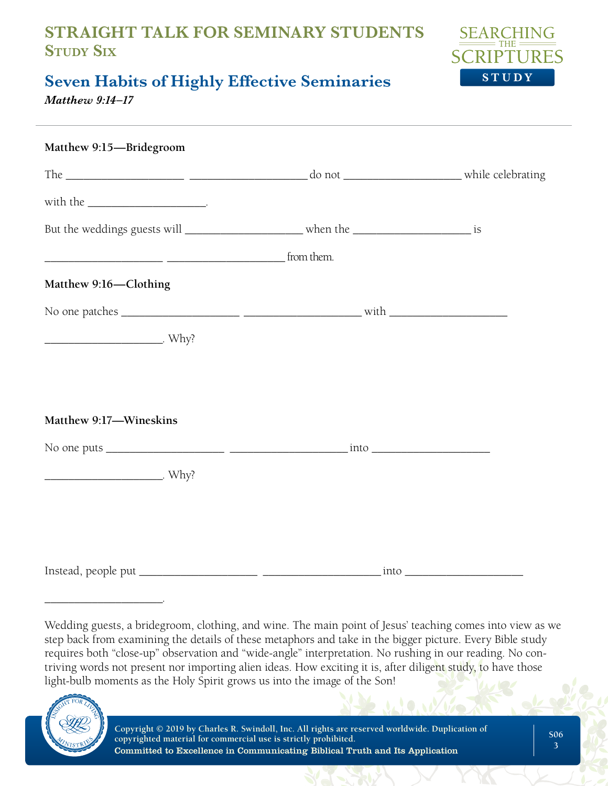

# **Seven Habits of Highly Effective Seminaries**

*Matthew 9:14–17*

| Matthew 9:15-Bridegroom                                                                   |                                         |  |
|-------------------------------------------------------------------------------------------|-----------------------------------------|--|
|                                                                                           |                                         |  |
|                                                                                           |                                         |  |
| But the weddings guests will ________________________ when the _______________________ is |                                         |  |
|                                                                                           |                                         |  |
| Matthew 9:16-Clothing                                                                     |                                         |  |
|                                                                                           |                                         |  |
|                                                                                           |                                         |  |
|                                                                                           |                                         |  |
|                                                                                           |                                         |  |
| Matthew 9:17-Wineskins                                                                    |                                         |  |
|                                                                                           |                                         |  |
|                                                                                           |                                         |  |
|                                                                                           |                                         |  |
|                                                                                           |                                         |  |
|                                                                                           |                                         |  |
|                                                                                           | $\frac{\text{into}}{\text{max}}$<br>- - |  |

Wedding guests, a bridegroom, clothing, and wine. The main point of Jesus' teaching comes into view as we step back from examining the details of these metaphors and take in the bigger picture. Every Bible study requires both "close-up" observation and "wide-angle" interpretation. No rushing in our reading. No contriving words not present nor importing alien ideas. How exciting it is, after diligent study, to have those light-bulb moments as the Holy Spirit grows us into the image of the Son!



\_\_\_\_\_\_\_\_\_\_\_\_\_\_\_\_\_\_\_\_.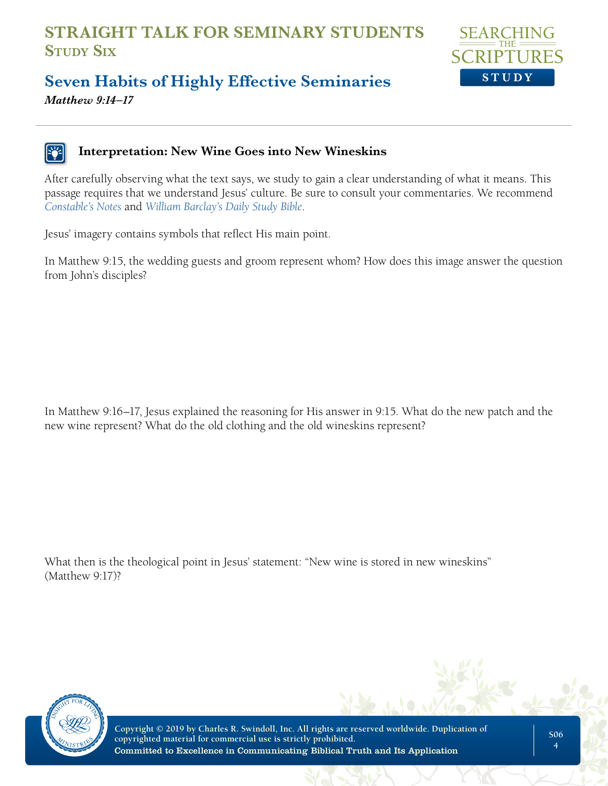

### **Seven Habits of Highly Effective Seminaries**  *Matthew 9:14–17*

#### **Interpretation: New Wine Goes into New Wineskins**

After carefully observing what the text says, we study to gain a clear understanding of what it means. This passage requires that we understand Jesus' culture. Be sure to consult your commentaries. We recommend *[Constable's Notes](http://Constable’s Notes)* and *[William Barclay's Daily Study Bible](http://William Barclay’s Daily Study Bible)*.

Jesus' imagery contains symbols that reflect His main point.

In Matthew 9:15, the wedding guests and groom represent whom? How does this image answer the question from John's disciples?

In Matthew 9:16–17, Jesus explained the reasoning for His answer in 9:15. What do the new patch and the new wine represent? What do the old clothing and the old wineskins represent?

What then is the theological point in Jesus' statement: "New wine is stored in new wineskins" (Matthew 9:17)?

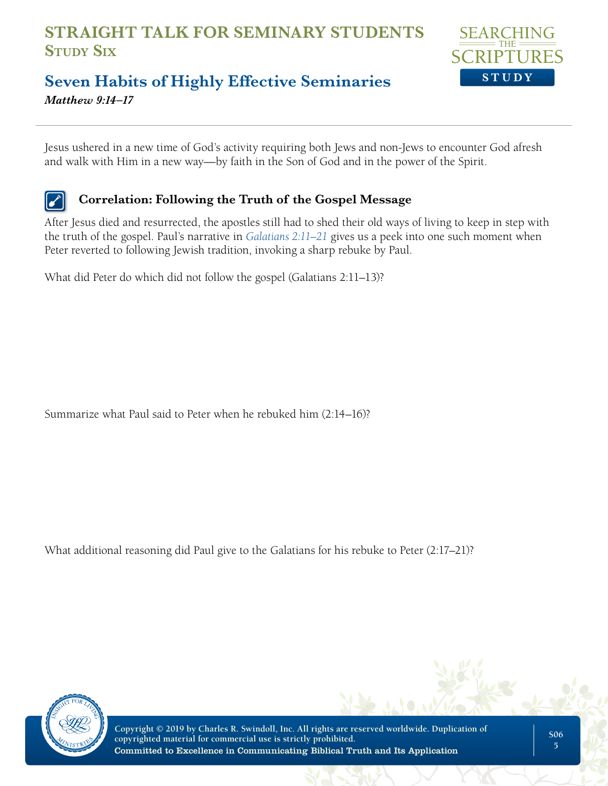

### **Seven Habits of Highly Effective Seminaries**  *Matthew 9:14–17*

Jesus ushered in a new time of God's activity requiring both Jews and non-Jews to encounter God afresh and walk with Him in a new way—by faith in the Son of God and in the power of the Spirit.

#### **Correlation: Following the Truth of the Gospel Message**

After Jesus died and resurrected, the apostles still had to shed their old ways of living to keep in step with the truth of the gospel. Paul's narrative in *[Galatians 2:11–21](Galatians 2:11-21)* gives us a peek into one such moment when Peter reverted to following Jewish tradition, invoking a sharp rebuke by Paul.

What did Peter do which did not follow the gospel (Galatians 2:11–13)?

Summarize what Paul said to Peter when he rebuked him (2:14–16)?

What additional reasoning did Paul give to the Galatians for his rebuke to Peter (2:17–21)?

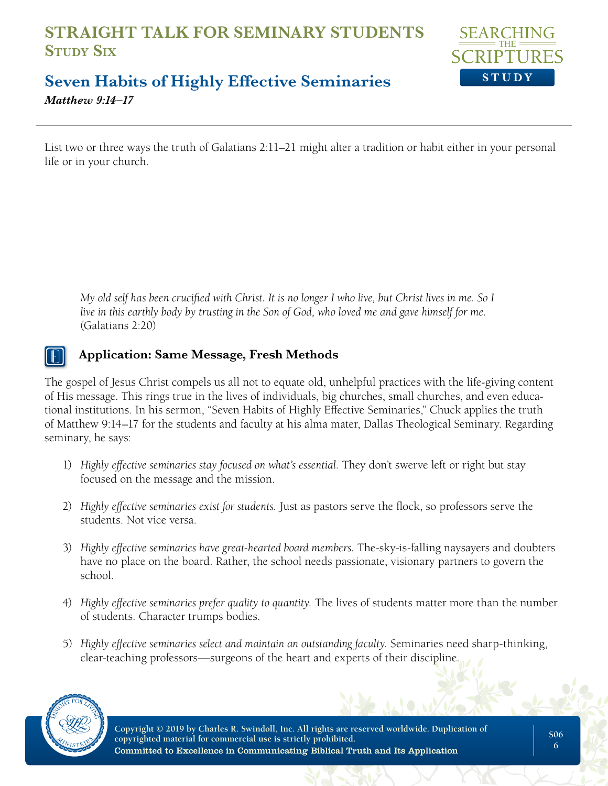

### **Seven Habits of Highly Effective Seminaries**  *Matthew 9:14–17*

List two or three ways the truth of Galatians 2:11–21 might alter a tradition or habit either in your personal life or in your church.

*My old self has been crucified with Christ. It is no longer I who live, but Christ lives in me. So I live in this earthly body by trusting in the Son of God, who loved me and gave himself for me.* (Galatians 2:20)

#### **Application: Same Message, Fresh Methods**

The gospel of Jesus Christ compels us all not to equate old, unhelpful practices with the life-giving content of His message. This rings true in the lives of individuals, big churches, small churches, and even educational institutions. In his sermon, "Seven Habits of Highly Effective Seminaries," Chuck applies the truth of Matthew 9:14–17 for the students and faculty at his alma mater, Dallas Theological Seminary. Regarding seminary, he says:

- 1) *Highly effective seminaries stay focused on what's essential.* They don't swerve left or right but stay focused on the message and the mission.
- 2) *Highly effective seminaries exist for students.* Just as pastors serve the flock, so professors serve the students. Not vice versa.
- 3) *Highly effective seminaries have great-hearted board members.* The-sky-is-falling naysayers and doubters have no place on the board. Rather, the school needs passionate, visionary partners to govern the school.
- 4) *Highly effective seminaries prefer quality to quantity.* The lives of students matter more than the number of students. Character trumps bodies.
- 5) *Highly effective seminaries select and maintain an outstanding faculty.* Seminaries need sharp-thinking, clear-teaching professors—surgeons of the heart and experts of their discipline.

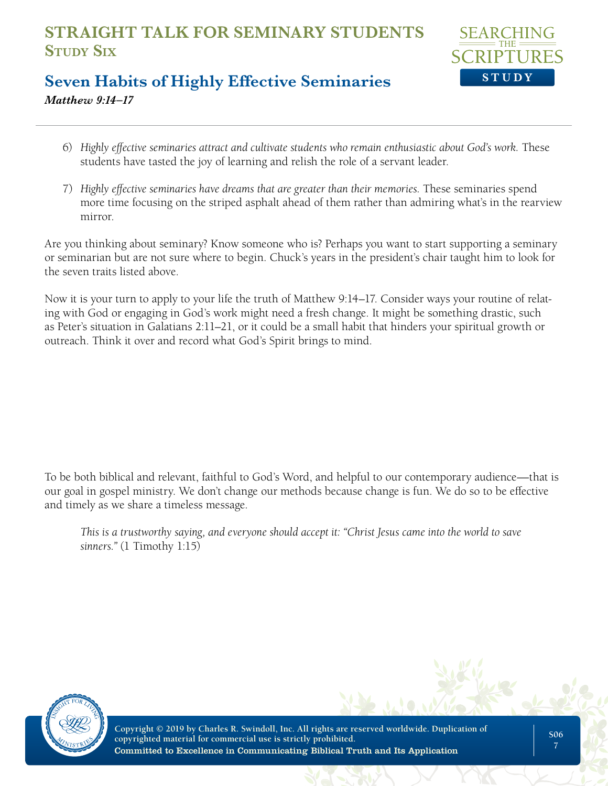

## **Seven Habits of Highly Effective Seminaries**  *Matthew 9:14–17*

- 6) *Highly effective seminaries attract and cultivate students who remain enthusiastic about God's work.* These students have tasted the joy of learning and relish the role of a servant leader.
- 7) *Highly effective seminaries have dreams that are greater than their memories.* These seminaries spend more time focusing on the striped asphalt ahead of them rather than admiring what's in the rearview mirror.

Are you thinking about seminary? Know someone who is? Perhaps you want to start supporting a seminary or seminarian but are not sure where to begin. Chuck's years in the president's chair taught him to look for the seven traits listed above.

Now it is your turn to apply to your life the truth of Matthew 9:14–17. Consider ways your routine of relating with God or engaging in God's work might need a fresh change. It might be something drastic, such as Peter's situation in Galatians 2:11–21, or it could be a small habit that hinders your spiritual growth or outreach. Think it over and record what God's Spirit brings to mind.

To be both biblical and relevant, faithful to God's Word, and helpful to our contemporary audience—that is our goal in gospel ministry. We don't change our methods because change is fun. We do so to be effective and timely as we share a timeless message.

*This is a trustworthy saying, and everyone should accept it: "Christ Jesus came into the world to save sinners."* (1 Timothy 1:15)

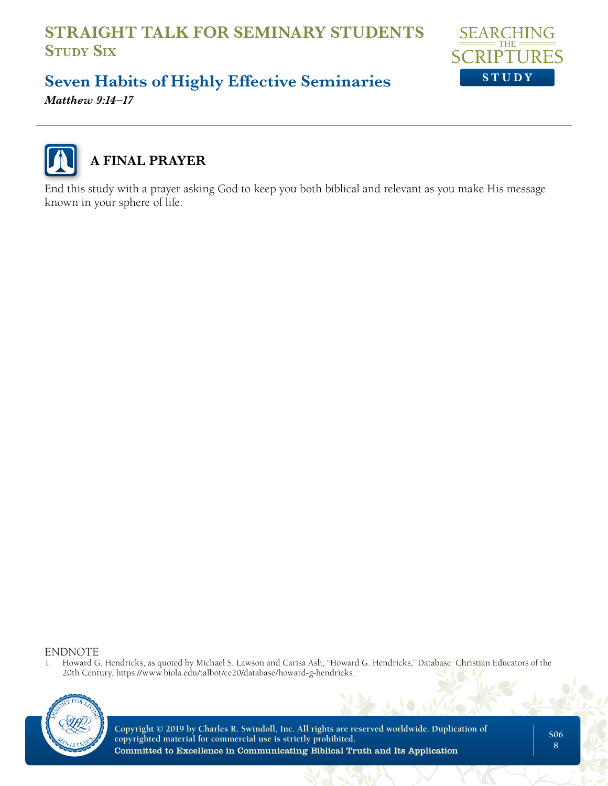

# **Seven Habits of Highly Effective Seminaries**

*Matthew 9:14–17*



# **A FINAL PRAYER**

End this study with a prayer asking God to keep you both biblical and relevant as you make His message known in your sphere of life.

ENDNOTE<br>1. Howard G

1. Howard G. Hendricks, as quoted by Michael S. Lawson and Carisa Ash, "Howard G. Hendricks," Database: Christian Educators of the 20th Century, https://www.biola.edu/talbot/ce20/database/howard-g-hendricks.